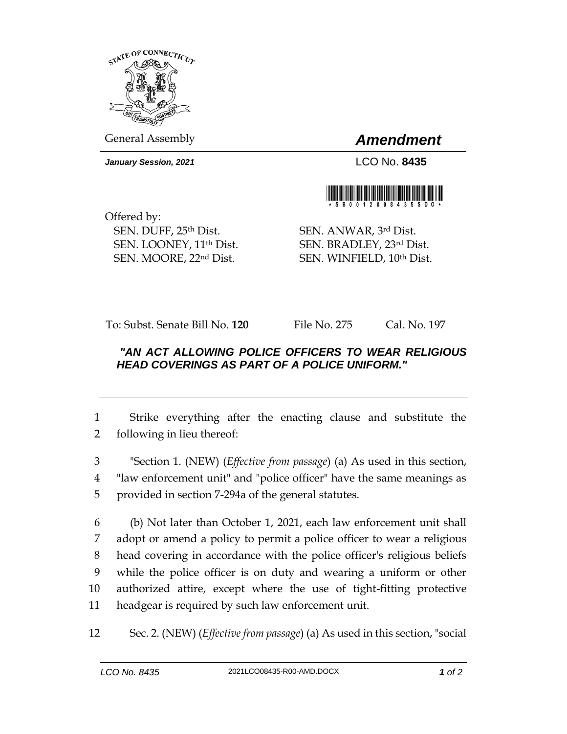

General Assembly *Amendment*

*January Session, 2021* LCO No. **8435**



Offered by: SEN. DUFF, 25th Dist. SEN. LOONEY, 11th Dist. SEN. MOORE, 22nd Dist.

SEN. ANWAR, 3rd Dist. SEN. BRADLEY, 23rd Dist. SEN. WINFIELD, 10th Dist.

To: Subst. Senate Bill No. **120** File No. 275 Cal. No. 197

## *"AN ACT ALLOWING POLICE OFFICERS TO WEAR RELIGIOUS HEAD COVERINGS AS PART OF A POLICE UNIFORM."*

1 Strike everything after the enacting clause and substitute the 2 following in lieu thereof:

3 "Section 1. (NEW) (*Effective from passage*) (a) As used in this section, 4 "law enforcement unit" and "police officer" have the same meanings as 5 provided in section 7-294a of the general statutes.

 (b) Not later than October 1, 2021, each law enforcement unit shall adopt or amend a policy to permit a police officer to wear a religious head covering in accordance with the police officer's religious beliefs while the police officer is on duty and wearing a uniform or other authorized attire, except where the use of tight-fitting protective headgear is required by such law enforcement unit.

12 Sec. 2. (NEW) (*Effective from passage*) (a) As used in this section, "social